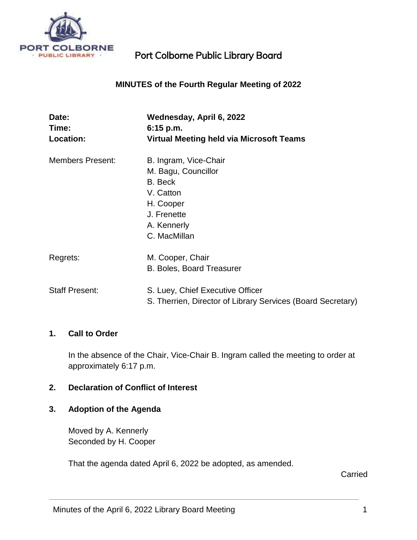

## **MINUTES of the Fourth Regular Meeting of 2022**

| Date:<br>Time:          | Wednesday, April 6, 2022<br>$6:15$ p.m.                     |
|-------------------------|-------------------------------------------------------------|
| Location:               | <b>Virtual Meeting held via Microsoft Teams</b>             |
| <b>Members Present:</b> | B. Ingram, Vice-Chair                                       |
|                         | M. Bagu, Councillor                                         |
|                         | B. Beck                                                     |
|                         | V. Catton                                                   |
|                         | H. Cooper                                                   |
|                         | J. Frenette                                                 |
|                         | A. Kennerly                                                 |
|                         | C. MacMillan                                                |
| Regrets:                | M. Cooper, Chair                                            |
|                         | <b>B. Boles, Board Treasurer</b>                            |
| <b>Staff Present:</b>   | S. Luey, Chief Executive Officer                            |
|                         | S. Therrien, Director of Library Services (Board Secretary) |

#### **1. Call to Order**

In the absence of the Chair, Vice-Chair B. Ingram called the meeting to order at approximately 6:17 p.m.

## **2. Declaration of Conflict of Interest**

### **3. Adoption of the Agenda**

Moved by A. Kennerly Seconded by H. Cooper

That the agenda dated April 6, 2022 be adopted, as amended.

**Carried**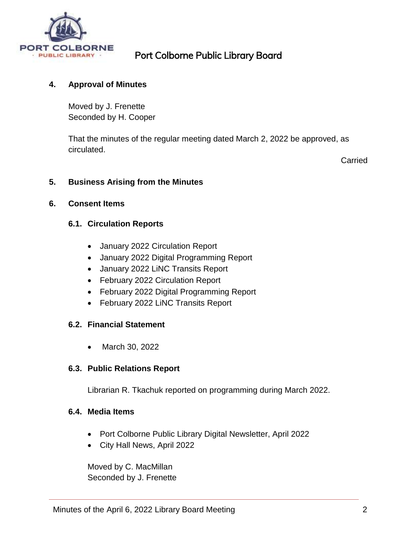

## **4. Approval of Minutes**

Moved by J. Frenette Seconded by H. Cooper

That the minutes of the regular meeting dated March 2, 2022 be approved, as circulated.

Carried

### **5. Business Arising from the Minutes**

#### **6. Consent Items**

### **6.1. Circulation Reports**

- January 2022 Circulation Report
- January 2022 Digital Programming Report
- January 2022 LiNC Transits Report
- February 2022 Circulation Report
- February 2022 Digital Programming Report
- February 2022 LiNC Transits Report

## **6.2. Financial Statement**

March 30, 2022

## **6.3. Public Relations Report**

Librarian R. Tkachuk reported on programming during March 2022.

#### **6.4. Media Items**

- Port Colborne Public Library Digital Newsletter, April 2022
- City Hall News, April 2022

Moved by C. MacMillan Seconded by J. Frenette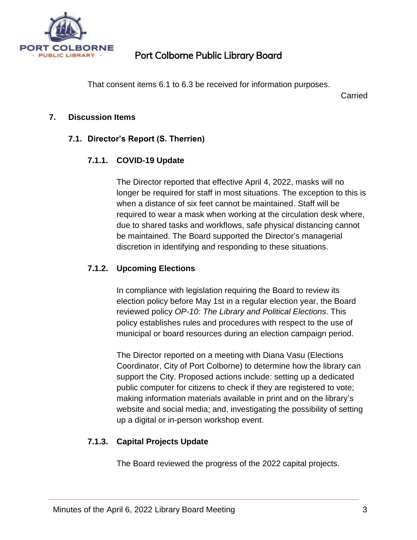

That consent items 6.1 to 6.3 be received for information purposes.

Carried

## **7. Discussion Items**

# **7.1. Director's Report (S. Therrien)**

## **7.1.1. COVID-19 Update**

The Director reported that effective April 4, 2022, masks will no longer be required for staff in most situations. The exception to this is when a distance of six feet cannot be maintained. Staff will be required to wear a mask when working at the circulation desk where, due to shared tasks and workflows, safe physical distancing cannot be maintained. The Board supported the Director's managerial discretion in identifying and responding to these situations.

## **7.1.2. Upcoming Elections**

In compliance with legislation requiring the Board to review its election policy before May 1st in a regular election year, the Board reviewed policy *OP-10: The Library and Political Elections*. This policy establishes rules and procedures with respect to the use of municipal or board resources during an election campaign period.

The Director reported on a meeting with Diana Vasu (Elections Coordinator, City of Port Colborne) to determine how the library can support the City. Proposed actions include: setting up a dedicated public computer for citizens to check if they are registered to vote; making information materials available in print and on the library's website and social media; and, investigating the possibility of setting up a digital or in-person workshop event.

# **7.1.3. Capital Projects Update**

The Board reviewed the progress of the 2022 capital projects.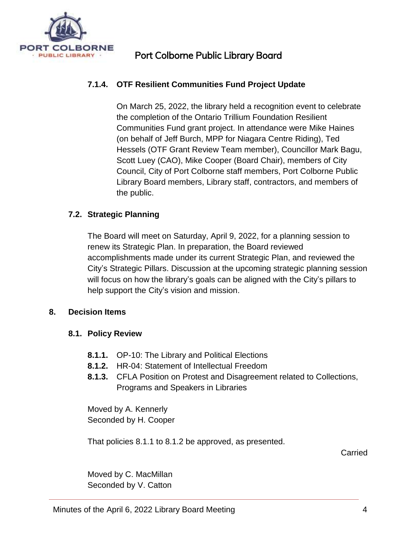

# **7.1.4. OTF Resilient Communities Fund Project Update**

On March 25, 2022, the library held a recognition event to celebrate the completion of the Ontario Trillium Foundation Resilient Communities Fund grant project. In attendance were Mike Haines (on behalf of Jeff Burch, MPP for Niagara Centre Riding), Ted Hessels (OTF Grant Review Team member), Councillor Mark Bagu, Scott Luey (CAO), Mike Cooper (Board Chair), members of City Council, City of Port Colborne staff members, Port Colborne Public Library Board members, Library staff, contractors, and members of the public.

## **7.2. Strategic Planning**

The Board will meet on Saturday, April 9, 2022, for a planning session to renew its Strategic Plan. In preparation, the Board reviewed accomplishments made under its current Strategic Plan, and reviewed the City's Strategic Pillars. Discussion at the upcoming strategic planning session will focus on how the library's goals can be aligned with the City's pillars to help support the City's vision and mission.

## **8. Decision Items**

## **8.1. Policy Review**

- **8.1.1.** OP-10: The Library and Political Elections
- **8.1.2.** HR-04: Statement of Intellectual Freedom
- **8.1.3.** CFLA Position on Protest and Disagreement related to Collections, Programs and Speakers in Libraries

Moved by A. Kennerly Seconded by H. Cooper

That policies 8.1.1 to 8.1.2 be approved, as presented.

Carried

Moved by C. MacMillan Seconded by V. Catton